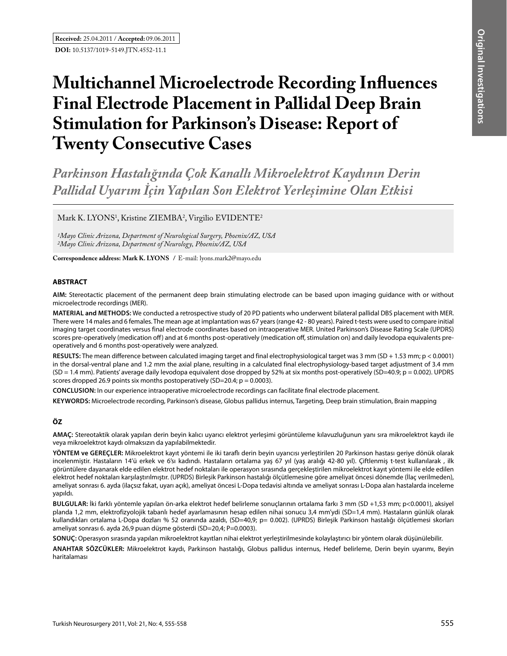# **Multichannel Microelectrode Recording Influences Final Electrode Placement in Pallidal Deep Brain Stimulation for Parkinson's Disease: Report of Twenty Consecutive Cases**

*Parkinson Hastalığında Çok Kanallı Mikroelektrot Kaydının Derin Pallidal Uyarım İçin Yapılan Son Elektrot Yerleşimine Olan Etkisi* 

Mark K. LYONS<sup>1</sup>, Kristine ZIEMBA<sup>2</sup>, Virgilio EVIDENTE<sup>2</sup>

*1Mayo Clinic Arizona, Department of Neurological Surgery, Phoenix/AZ, USA 2Mayo Clinic Arizona, Department of Neurology, Phoenix/AZ, USA*

**Correspondence address: Mark K. Lyons /** E-mail: lyons.mark2@mayo.edu

# **ABSTRACT**

**AIm:** Stereotactic placement of the permanent deep brain stimulating electrode can be based upon imaging guidance with or without microelectrode recordings (MER).

**MaterIal and Methods:** We conducted a retrospective study of 20 PD patients who underwent bilateral pallidal DBS placement with MER. There were 14 males and 6 females. The mean age at implantation was 67 years (range 42 - 80 years). Paired t-tests were used to compare initial imaging target coordinates versus final electrode coordinates based on intraoperative MER. United Parkinson's Disease Rating Scale (UPDRS) scores pre-operatively (medication off) and at 6 months post-operatively (medication off, stimulation on) and daily levodopa equivalents preoperatively and 6 months post-operatively were analyzed.

**Results:** The mean difference between calculated imaging target and final electrophysiological target was 3 mm (SD + 1.53 mm; p < 0.0001) in the dorsal-ventral plane and 1.2 mm the axial plane, resulting in a calculated final electrophysiology-based target adjustment of 3.4 mm (SD = 1.4 mm). Patients' average daily levodopa equivalent dose dropped by 52% at six months post-operatively (SD=40.9; p = 0.002). UPDRS scores dropped 26.9 points six months postoperatively (SD=20.4;  $p = 0.0003$ ).

**ConclusIon:** In our experience intraoperative microelectrode recordings can facilitate final electrode placement.

**Keywords:** Microelectrode recording, Parkinson's disease, Globus pallidus internus, Targeting, Deep brain stimulation, Brain mapping

# **ÖZ**

**AMAÇ:** Stereotaktik olarak yapılan derin beyin kalıcı uyarıcı elektrot yerleşimi görüntüleme kılavuzluğunun yanı sıra mikroelektrot kaydı ile veya mikroelektrot kaydı olmaksızın da yapılabilmektedir.

**YÖNTEM ve GEREÇLER:** Mikroelektrot kayıt yöntemi ile iki taraflı derin beyin uyarıcısı yerleştirilen 20 Parkinson hastası geriye dönük olarak incelenmiştir. Hastaların 14'ü erkek ve 6'sı kadındı. Hastaların ortalama yaş 67 yıl (yaş aralığı 42-80 yıl). Çiftlenmiş t-test kullanılarak , ilk görüntülere dayanarak elde edilen elektrot hedef noktaları ile operasyon sırasında gerçekleştirilen mikroelektrot kayıt yöntemi ile elde edilen elektrot hedef noktaları karşılaştırılmıştır. (UPRDS) Birleşik Parkinson hastalığı ölçütlemesine göre ameliyat öncesi dönemde (İlaç verilmeden), ameliyat sonrası 6. ayda (ilaçsız fakat, uyarı açık), ameliyat öncesi L-Dopa tedavisi altında ve ameliyat sonrası L-Dopa alan hastalarda inceleme yapıldı.

**BULGULAR:** İki farklı yöntemle yapılan ön-arka elektrot hedef belirleme sonuçlarının ortalama farkı 3 mm (SD +1,53 mm; p<0.0001), aksiyel planda 1,2 mm, elektrofizyolojik tabanlı hedef ayarlamasının hesap edilen nihai sonucu 3,4 mm'ydi (SD=1,4 mm). Hastaların günlük olarak kullandıkları ortalama L-Dopa dozları % 52 oranında azaldı, (SD=40,9; p= 0.002). (UPRDS) Birleşik Parkinson hastalığı ölçütlemesi skorları ameliyat sonrası 6. ayda 26,9 puan düşme gösterdi (SD=20,4; P=0.0003).

**SONUÇ:** Operasyon sırasında yapılan mikroelektrot kayıtları nihai elektrot yerleştirilmesinde kolaylaştırıcı bir yöntem olarak düşünülebilir.

**ANAHTAR SÖZCÜKLER:** Mikroelektrot kaydı, Parkinson hastalığı, Globus pallidus internus, Hedef belirleme, Derin beyin uyarımı, Beyin haritalaması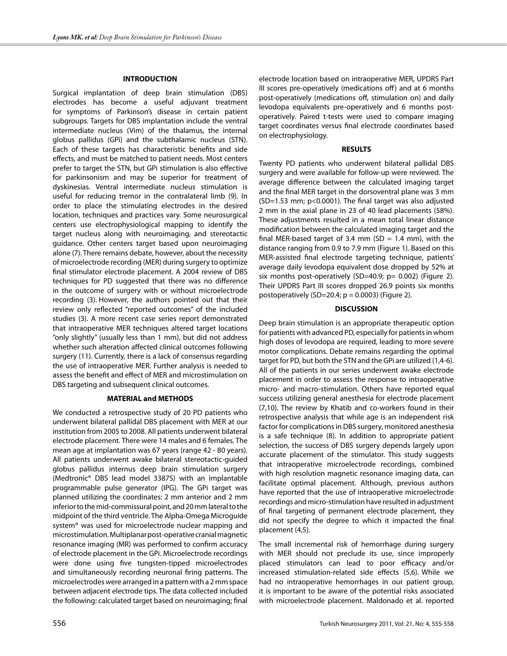### **INTRODUCTION**

Surgical implantation of deep brain stimulation (DBS) electrodes has become a useful adjuvant treatment for symptoms of Parkinson's disease in certain patient subgroups. Targets for DBS implantation include the ventral intermediate nucleus (Vim) of the thalamus, the internal globus pallidus (GPi) and the subthalamic nucleus (STN). Each of these targets has characteristic benefits and side effects, and must be matched to patient needs. Most centers prefer to target the STN, but GPi stimulation is also effective for parkinsonism and may be superior for treatment of dyskinesias. Ventral intermediate nucleus stimulation is useful for reducing tremor in the contralateral limb (9). In order to place the stimulating electrodes in the desired location, techniques and practices vary. Some neurosurgical centers use electrophysiological mapping to identify the target nucleus along with neuroimaging, and stereotactic guidance. Other centers target based upon neuroimaging alone (7). There remains debate, however, about the necessity of microelectrode recording (MER) during surgery to optimize final stimulator electrode placement. A 2004 review of DBS techniques for PD suggested that there was no difference in the outcome of surgery with or without microelectrode recording (3). However, the authors pointed out that their review only reflected "reported outcomes" of the included studies (3). A more recent case series report demonstrated that intraoperative MER techniques altered target locations "only slightly" (usually less than 1 mm), but did not address whether such alteration affected clinical outcomes following surgery (11). Currently, there is a lack of consensus regarding the use of intraoperative MER. Further analysis is needed to assess the benefit and effect of MER and microstimulation on DBS targeting and subsequent clinical outcomes.

# **MATERIAL and METHODS**

We conducted a retrospective study of 20 PD patients who underwent bilateral pallidal DBS placement with MER at our institution from 2005 to 2008. All patients underwent bilateral electrode placement. There were 14 males and 6 females. The mean age at implantation was 67 years (range 42 - 80 years). All patients underwent awake bilateral stereotactic-guided globus pallidus internus deep brain stimulation surgery (Medtronic® DBS lead model 3387S) with an implantable programmable pulse generator (IPG). The GPi target was planned utilizing the coordinates: 2 mm anterior and 2 mm inferior to the mid-commissural point, and 20 mm lateral to the midpoint of the third ventricle. The Alpha-Omega Microguide system® was used for microelectrode nuclear mapping and microstimulation. Multiplanar post-operative cranial magnetic resonance imaging (MR) was performed to confirm accuracy of electrode placement in the GPi. Microelectrode recordings were done using five tungsten-tipped microelectrodes and simultaneously recording neuronal firing patterns. The microelectrodes were arranged in a pattern with a 2 mm space between adjacent electrode tips. The data collected included the following: calculated target based on neuroimaging; final

electrode location based on intraoperative MER, UPDRS Part III scores pre-operatively (medications off) and at 6 months post-operatively (medications off, stimulation on) and daily levodopa equivalents pre-operatively and 6 months postoperatively. Paired t-tests were used to compare imaging target coordinates versus final electrode coordinates based on electrophysiology.

#### **RESULTS**

Twenty PD patients who underwent bilateral pallidal DBS surgery and were available for follow-up were reviewed. The average difference between the calculated imaging target and the final MER target in the dorsoventral plane was 3 mm (SD=1.53 mm; p<0.0001). The final target was also adjusted 2 mm in the axial plane in 23 of 40 lead placements (58%). These adjustments resulted in a mean total linear distance modification between the calculated imaging target and the final MER-based target of 3.4 mm (SD = 1.4 mm), with the distance ranging from 0.9 to 7.9 mm (Figure 1). Based on this MER-assisted final electrode targeting technique, patients' average daily levodopa equivalent dose dropped by 52% at six months post-operatively (SD=40.9; p= 0.002) (Figure 2). Their UPDRS Part III scores dropped 26.9 points six months postoperatively (SD=20.4;  $p = 0.0003$ ) (Figure 2).

## **DISCUSSION**

Deep brain stimulation is an appropriate therapeutic option for patients with advanced PD, especially for patients in whom high doses of levodopa are required, leading to more severe motor complications. Debate remains regarding the optimal target for PD, but both the STN and the GPi are utilized (1,4-6). All of the patients in our series underwent awake electrode placement in order to assess the response to intraoperative micro- and macro-stimulation. Others have reported equal success utilizing general anesthesia for electrode placement (7,10). The review by Khatib and co-workers found in their retrospective analysis that while age is an independent risk factor for complications in DBS surgery, monitored anesthesia is a safe technique (8). In addition to appropriate patient selection, the success of DBS surgery depends largely upon accurate placement of the stimulator. This study suggests that intraoperative microelectrode recordings, combined with high resolution magnetic resonance imaging data, can facilitate optimal placement. Although, previous authors have reported that the use of intraoperative microelectrode recordings and micro-stimulation have resulted in adjustment of final targeting of permanent electrode placement, they did not specify the degree to which it impacted the final placement (4,5).

The small incremental risk of hemorrhage during surgery with MER should not preclude its use, since improperly placed stimulators can lead to poor efficacy and/or increased stimulation-related side effects (5,6). While we had no intraoperative hemorrhages in our patient group, it is important to be aware of the potential risks associated with microelectrode placement. Maldonado et al. reported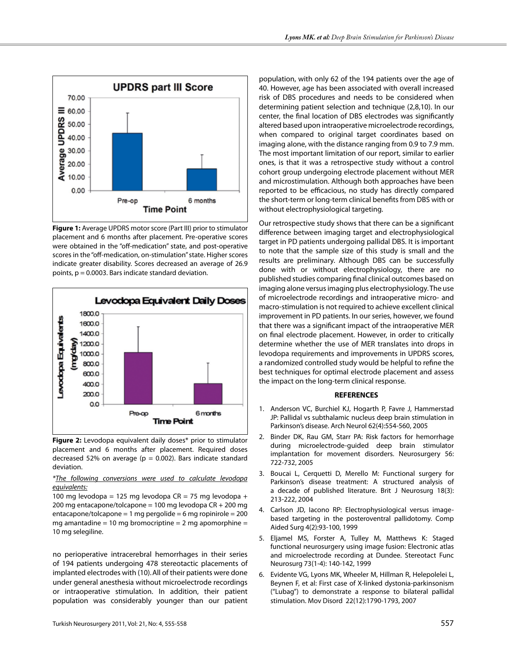

**Figure 1:** Average UPDRS motor score (Part III) prior to stimulator placement and 6 months after placement. Pre-operative scores were obtained in the "off-medication" state, and post-operative scores in the "off-medication, on-stimulation" state. Higher scores indicate greater disability. Scores decreased an average of 26.9 points,  $p = 0.0003$ . Bars indicate standard deviation.



**Figure 2:** Levodopa equivalent daily doses\* prior to stimulator placement and 6 months after placement. Required doses decreased 52% on average ( $p = 0.002$ ). Bars indicate standard deviation.

*\*The following conversions were used to calculate levodopa equivalents:*

100 mg levodopa = 125 mg levodopa  $CR = 75$  mg levodopa + 200 mg entacapone/tolcapone = 100 mg levodopa  $CR + 200$  mg entacapone/tolcapone = 1 mg pergolide = 6 mg ropinirole =  $200$ mg amantadine = 10 mg bromocriptine = 2 mg apomorphine = 10 mg selegiline.

no perioperative intracerebral hemorrhages in their series of 194 patients undergoing 478 stereotactic placements of implanted electrodes with (10).All of their patients were done under general anesthesia without microelectrode recordings or intraoperative stimulation. In addition, their patient population was considerably younger than our patient

population, with only 62 of the 194 patients over the age of 40. However, age has been associated with overall increased risk of DBS procedures and needs to be considered when determining patient selection and technique (2,8,10). In our center, the final location of DBS electrodes was significantly altered based upon intraoperative microelectrode recordings, when compared to original target coordinates based on imaging alone, with the distance ranging from 0.9 to 7.9 mm. The most important limitation of our report, similar to earlier ones, is that it was a retrospective study without a control cohort group undergoing electrode placement without MER and microstimulation. Although both approaches have been reported to be efficacious, no study has directly compared the short-term or long-term clinical benefits from DBS with or without electrophysiological targeting.

Our retrospective study shows that there can be a significant difference between imaging target and electrophysiological target in PD patients undergoing pallidal DBS. It is important to note that the sample size of this study is small and the results are preliminary. Although DBS can be successfully done with or without electrophysiology, there are no published studies comparing final clinical outcomes based on imaging alone versus imaging plus electrophysiology. The use of microelectrode recordings and intraoperative micro- and macro-stimulation is not required to achieve excellent clinical improvement in PD patients. In our series, however, we found that there was a significant impact of the intraoperative MER on final electrode placement. However, in order to critically determine whether the use of MER translates into drops in levodopa requirements and improvements in UPDRS scores, a randomized controlled study would be helpful to refine the best techniques for optimal electrode placement and assess the impact on the long-term clinical response.

### **REFERENCES**

- 1. Anderson VC, Burchiel KJ, Hogarth P, Favre J, Hammerstad JP: Pallidal vs subthalamic nucleus deep brain stimulation in Parkinson's disease. Arch Neurol 62(4):554-560, 2005
- 2. Binder DK, Rau GM, Starr PA: Risk factors for hemorrhage during microelectrode-guided deep brain stimulator implantation for movement disorders. Neurosurgery 56: 722-732, 2005
- 3. Boucai L, Cerquetti D, Merello M: Functional surgery for Parkinson's disease treatment: A structured analysis of a decade of published literature. Brit J Neurosurg 18(3): 213-222, 2004
- 4. Carlson JD, Iacono RP: Electrophysiological versus imagebased targeting in the posteroventral pallidotomy. Comp Aided Surg 4(2):93-100, 1999
- 5. Eljamel MS, Forster A, Tulley M, Matthews K: Staged functional neurosurgery using image fusion: Electronic atlas and microelectrode recording at Dundee. Stereotact Func Neurosurg 73(1-4): 140-142, 1999
- 6. Evidente VG, Lyons MK, Wheeler M, Hillman R, Helepolelei L, Beynen F, et al: First case of X-linked dystonia-parkinsonism ("Lubag") to demonstrate a response to bilateral pallidal stimulation. Mov Disord 22(12):1790-1793, 2007